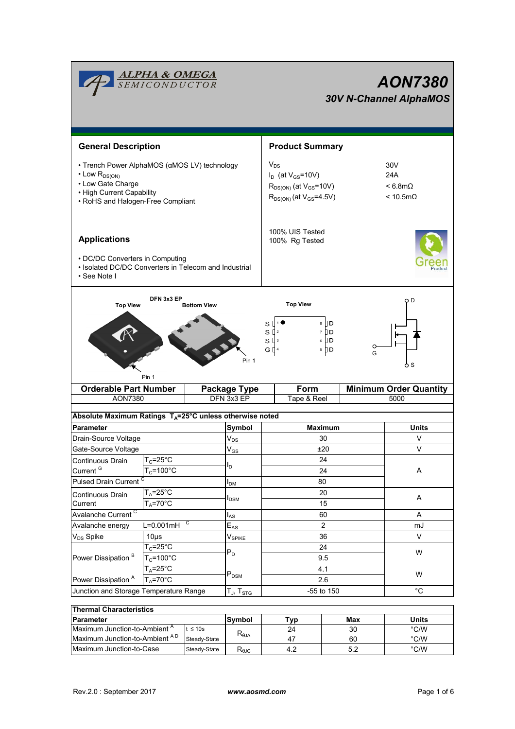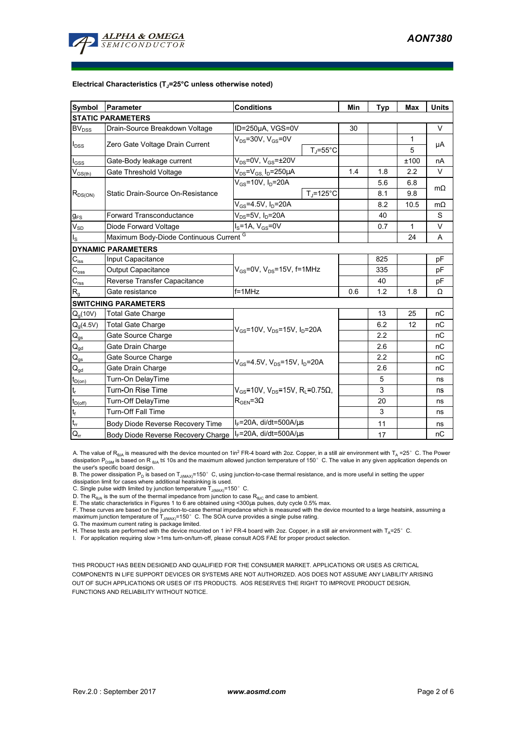

#### **Electrical Characteristics (TJ=25°C unless otherwise noted)**

| Symbol                                  | Parameter                               | <b>Conditions</b>                                                        | Min | <b>Typ</b> | <b>Max</b>   | <b>Units</b> |
|-----------------------------------------|-----------------------------------------|--------------------------------------------------------------------------|-----|------------|--------------|--------------|
| <b>STATIC PARAMETERS</b>                |                                         |                                                                          |     |            |              |              |
| <b>BV</b> <sub>DSS</sub>                | Drain-Source Breakdown Voltage          | ID=250µA, VGS=0V                                                         | 30  |            |              | V            |
| $I_{DSS}$                               | Zero Gate Voltage Drain Current         | $V_{DS}$ =30V, $V_{GS}$ =0V                                              |     |            | 1            | μA           |
|                                         |                                         | $T_{\rm J}$ =55°C                                                        |     |            | 5            |              |
| $I_{\rm GSS}$                           | Gate-Body leakage current               | $V_{DS}$ =0V, $V_{GS}$ = $\pm$ 20V                                       |     |            | ±100         | nA           |
| $\mathsf{V}_{\mathsf{GS}(\mathsf{th})}$ | Gate Threshold Voltage                  | $V_{DS} = V_{GS}$ , $I_D = 250 \mu A$                                    | 1.4 | 1.8        | 2.2          | V            |
| $R_{DS(ON)}$                            | Static Drain-Source On-Resistance       | $V_{GS}$ =10V, $I_D$ =20A                                                |     | 5.6        | 6.8          | $m\Omega$    |
|                                         |                                         | $T_i = 125$ °C                                                           |     | 8.1        | 9.8          |              |
|                                         |                                         | $V_{GS}$ =4.5V, $I_D$ =20A                                               |     | 8.2        | 10.5         | $m\Omega$    |
| $g_{FS}$                                | <b>Forward Transconductance</b>         | $V_{DS}$ =5V, I <sub>D</sub> =20A                                        |     | 40         |              | S            |
| $V_{SD}$                                | Diode Forward Voltage                   | $I_S = 1A$ , $V_{GS} = 0V$                                               |     | 0.7        | $\mathbf{1}$ | V            |
| $I_{\rm S}$                             | Maximum Body-Diode Continuous Current G |                                                                          |     |            | 24           | A            |
| <b>DYNAMIC PARAMETERS</b>               |                                         |                                                                          |     |            |              |              |
| $C_{\text{iss}}$                        | Input Capacitance                       | $V_{GS}$ =0V, $V_{DS}$ =15V, f=1MHz                                      |     | 825        |              | рF           |
| $C_{\rm oss}$                           | <b>Output Capacitance</b>               |                                                                          |     | 335        |              | рF           |
| $C_{\rm rss}$                           | Reverse Transfer Capacitance            |                                                                          |     | 40         |              | рF           |
| $R_{q}$                                 | Gate resistance                         | $f = 1$ MHz                                                              | 0.6 | 1.2        | 1.8          | Ω            |
| <b>SWITCHING PARAMETERS</b>             |                                         |                                                                          |     |            |              |              |
| $Q_q(10V)$                              | <b>Total Gate Charge</b>                |                                                                          |     | 13         | 25           | nC           |
| $Q_q(4.5V)$                             | <b>Total Gate Charge</b>                | $V_{GS}$ =10V, $V_{DS}$ =15V, $I_D$ =20A                                 |     | 6.2        | 12           | nC           |
| $\mathsf{Q}_{\mathsf{gs}}$              | Gate Source Charge                      |                                                                          |     | 2.2        |              | nC           |
| $\mathsf{Q}_{\underline{\mathsf{gd}}}$  | Gate Drain Charge                       |                                                                          |     | 2.6        |              | nC           |
| $Q_{qs}$                                | Gate Source Charge                      | $V_{\text{GS}}$ =4.5V, $V_{\text{DS}}$ =15V, $I_{\text{D}}$ =20A         |     | 2.2        |              | nC           |
| $\mathsf{Q}_{\underline{\mathsf{gd}}}$  | Gate Drain Charge                       |                                                                          |     | 2.6        |              | nC           |
| $t_{D(0n)}$                             | Turn-On DelayTime                       |                                                                          |     | 5          |              | ns           |
| $\mathbf{t}_\mathrm{r}$                 | Turn-On Rise Time                       | $V_{\rm GS}$ =10V, V <sub>DS</sub> =15V, R <sub>L</sub> =0.75 $\Omega$ , |     | 3          |              | ns           |
| $t_{D(Off)}$                            | Turn-Off DelayTime                      | $R_{\text{GEN}} = 3\Omega$                                               |     | 20         |              | ns           |
| $\mathsf{t}_{\mathsf{f}}$               | <b>Turn-Off Fall Time</b>               |                                                                          |     | 3          |              | ns           |
| $t_{rr}$                                | Body Diode Reverse Recovery Time        | $I_F$ =20A, di/dt=500A/ $\mu$ s                                          |     | 11         |              | ns           |
| $Q_{rr}$                                | Body Diode Reverse Recovery Charge      | $IF=20A$ , di/dt=500A/ $\mu$ s                                           |     | 17         |              | nC           |

A. The value of  $R_{\theta JA}$  is measured with the device mounted on 1in<sup>2</sup> FR-4 board with 2oz. Copper, in a still air environment with T<sub>A</sub> =25° C. The Power dissipation P<sub>DSM</sub> is based on R <sub>θJA</sub> t≤ 10s and the maximum allowed junction temperature of 150°C. The value in any given application depends on

the user's specific board design.<br>B. The power dissipation P<sub>D</sub> is based on T<sub>J(MAX)</sub>=150° C, using junction-to-case thermal resistance, and is more useful in setting the upper<br>dissipation limit for cases where additional

C. Single pulse width limited by junction temperature  $T_{J(MAX)}$ =150° C.

D. The R<sub>θJA</sub> is the sum of the thermal impedance from junction to case R<sub>6JC</sub> and case to ambient.<br>E. The static characteristics in Figures 1 to 6 are obtained using <300µs pulses, duty cycle 0.5% max.

F. These curves are based on the junction-to-case thermal impedance which is measured with the device mounted to a large heatsink, assuming a<br>maximum junction temperature of T<sub>J(MAX)</sub>=150°C. The SOA curve provides a single

G. The maximum current rating is package limited.

H. These tests are performed with the device mounted on 1 in<sup>2</sup> FR-4 board with 2oz. Copper, in a still air environment with  $T_A=25^\circ$  C.

I. For application requiring slow >1ms turn-on/turn-off, please consult AOS FAE for proper product selection.

THIS PRODUCT HAS BEEN DESIGNED AND QUALIFIED FOR THE CONSUMER MARKET. APPLICATIONS OR USES AS CRITICAL COMPONENTS IN LIFE SUPPORT DEVICES OR SYSTEMS ARE NOT AUTHORIZED. AOS DOES NOT ASSUME ANY LIABILITY ARISING OUT OF SUCH APPLICATIONS OR USES OF ITS PRODUCTS. AOS RESERVES THE RIGHT TO IMPROVE PRODUCT DESIGN, FUNCTIONS AND RELIABILITY WITHOUT NOTICE.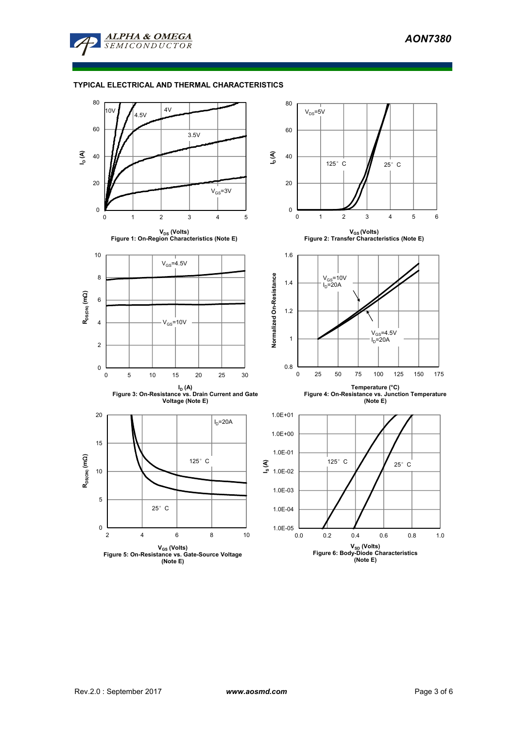

# **TYPICAL ELECTRICAL AND THERMAL CHARACTERISTICS**

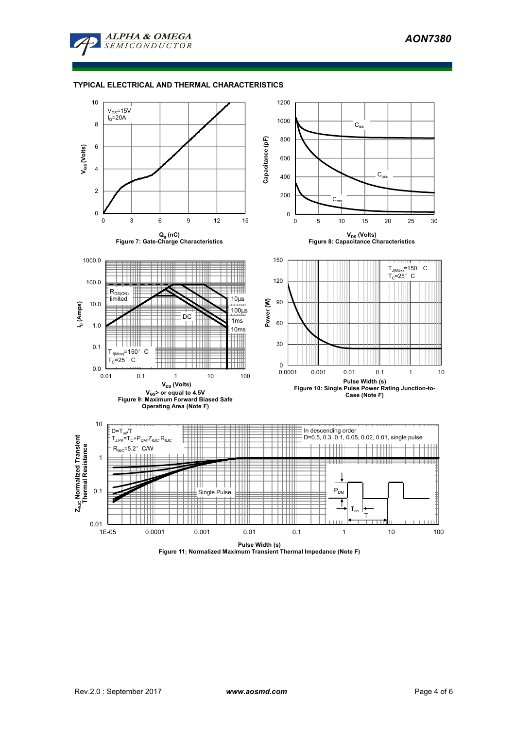

# **TYPICAL ELECTRICAL AND THERMAL CHARACTERISTICS**



**Pulse Width (s) Figure 11: Normalized Maximum Transient Thermal Impedance (Note F)**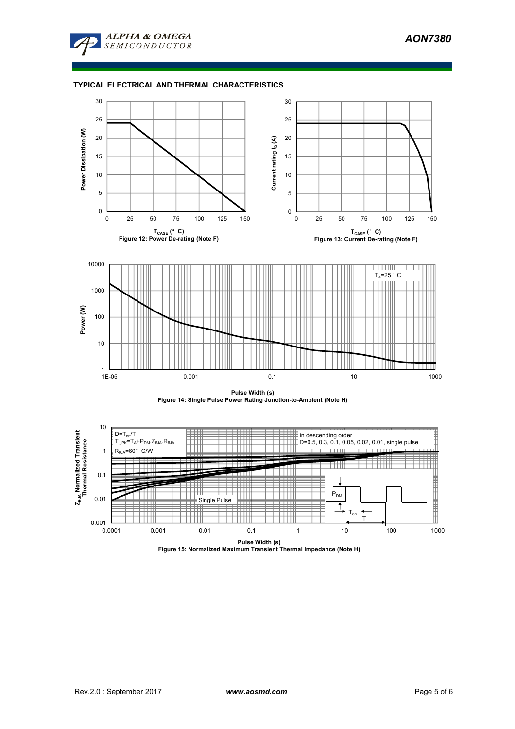

# **TYPICAL ELECTRICAL AND THERMAL CHARACTERISTICS**







**Pulse Width (s) Figure 15: Normalized Maximum Transient Thermal Impedance (Note H)**